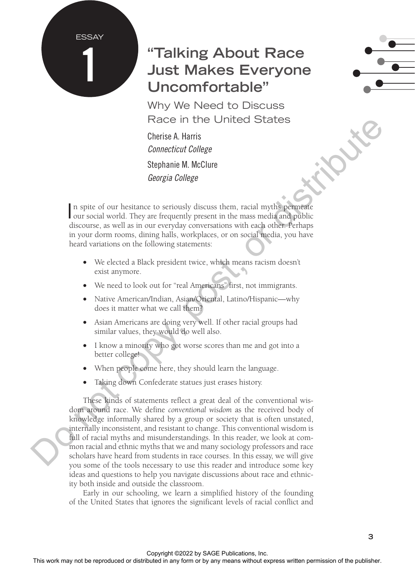#### ESSAY

1

# **"Talking About Race Just Makes Everyone Uncomfortable"**

Why We Need to Discuss Race in the United States

Cherise A. Harris *Connecticut College*  Stephanie M. McClure *Georgia College*

In spite of our hesitance to seriously discuss them, racial myths permeate our social world. They are frequently present in the mass media and public n spite of our hesitance to seriously discuss them, racial myths permeate discourse, as well as in our everyday conversations with each other. Perhaps in your dorm rooms, dining halls, workplaces, or on social media, you have heard variations on the following statements:

- We elected a Black president twice, which means racism doesn't exist anymore.
- We need to look out for "real Americans" first, not immigrants.
- Native American/Indian, Asian/Oriental, Latino/Hispanic—why does it matter what we call them?
- Asian Americans are doing very well. If other racial groups had similar values, they would do well also.
- I know a minority who got worse scores than me and got into a better college!
- When people come here, they should learn the language.
- Taking down Confederate statues just erases history.

These kinds of statements reflect a great deal of the conventional wisdom around race. We define *conventional wisdom* as the received body of knowledge informally shared by a group or society that is often unstated, internally inconsistent, and resistant to change. This conventional wisdom is full of racial myths and misunderstandings. In this reader, we look at common racial and ethnic myths that we and many sociology professors and race scholars have heard from students in race courses. In this essay, we will give you some of the tools necessary to use this reader and introduce some key ideas and questions to help you navigate discussions about race and ethnicity both inside and outside the classroom. From the United or States in the United States (Shipping the Reproduced or between the states written and mythiology and the state of the publisher. The state of the publisher of the publisher. The publisher of the publis

Early in our schooling, we learn a simplified history of the founding of the United States that ignores the significant levels of racial conflict and

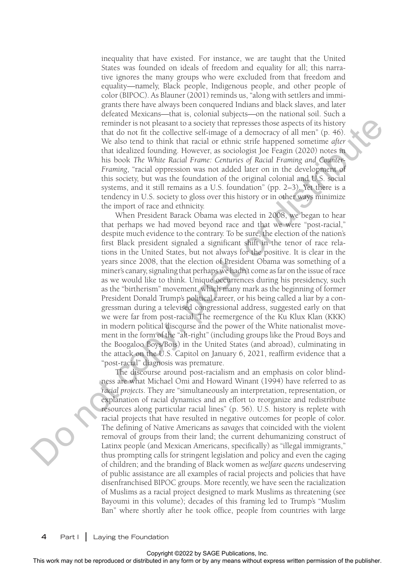inequality that have existed. For instance, we are taught that the United States was founded on ideals of freedom and equality for all; this narrative ignores the many groups who were excluded from that freedom and equality—namely, Black people, Indigenous people, and other people of color (BIPOC). As Blauner (2001) reminds us, "along with settlers and immigrants there have always been conquered Indians and black slaves, and later defeated Mexicans—that is, colonial subjects—on the national soil. Such a reminder is not pleasant to a society that represses those aspects of its history that do not fit the collective self-image of a democracy of all men" (p. 46). We also tend to think that racial or ethnic strife happened sometime *after* that idealized founding. However, as sociologist Joe Feagin (2020) notes in his book *The White Racial Frame: Centuries of Racial Framing and Counter-Framing*, "racial oppression was not added later on in the development of this society, but was the foundation of the original colonial and U.S. social systems, and it still remains as a U.S. foundation" (pp. 2–3). Yet there is a tendency in U.S. society to gloss over this history or in other ways minimize the import of race and ethnicity.

When President Barack Obama was elected in 2008, we began to hear that perhaps we had moved beyond race and that we were "post-racial," despite much evidence to the contrary. To be sure, the election of the nation's first Black president signaled a significant shift in the tenor of race relations in the United States, but not always for the positive. It is clear in the years since 2008, that the election of President Obama was something of a miner's canary, signaling that perhaps we hadn't come as far on the issue of race as we would like to think. Unique occurrences during his presidency, such as the "birtherism" movement, which many mark as the beginning of former President Donald Trump's political career, or his being called a liar by a congressman during a televised congressional address, suggested early on that we were far from post-racial. The reemergence of the Ku Klux Klan (KKK) in modern political discourse and the power of the White nationalist movement in the form of the "alt-right" (including groups like the Proud Boys and the Boogaloo Boys/Bois) in the United States (and abroad), culminating in the attack on the U.S. Capitol on January 6, 2021, reaffirm evidence that a "post-racial" diagnosis was premature. From the rest of the rest or the rest of the rest or distributed in any form or by any means with the rest or distributed in a chine any form or by any means we are the publisher. This book the work means we are the publi

The discourse around post-racialism and an emphasis on color blindness are what Michael Omi and Howard Winant (1994) have referred to as *racial projects*. They are "simultaneously an interpretation, representation, or explanation of racial dynamics and an effort to reorganize and redistribute resources along particular racial lines" (p. 56). U.S. history is replete with racial projects that have resulted in negative outcomes for people of color. The defining of Native Americans as *savages* that coincided with the violent removal of groups from their land; the current dehumanizing construct of Latinx people (and Mexican Americans, specifically) as "illegal immigrants," thus prompting calls for stringent legislation and policy and even the caging of children; and the branding of Black women as *welfare queens* undeserving of public assistance are all examples of racial projects and policies that have disenfranchised BIPOC groups. More recently, we have seen the racialization of Muslims as a racial project designed to mark Muslims as threatening (see Bayoumi in this volume); decades of this framing led to Trump's "Muslim Ban" where shortly after he took office, people from countries with large

**4** Part I **|** Laying the Foundation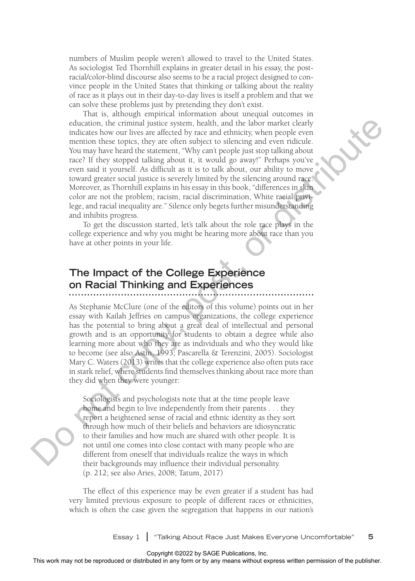numbers of Muslim people weren't allowed to travel to the United States. As sociologist Ted Thornhill explains in greater detail in his essay, the postracial/color-blind discourse also seems to be a racial project designed to convince people in the United States that thinking or talking about the reality of race as it plays out in their day-to-day lives is itself a problem and that we can solve these problems just by pretending they don't exist.

That is, although empirical information about unequal outcomes in education, the criminal justice system, health, and the labor market clearly indicates how our lives are affected by race and ethnicity, when people even mention these topics, they are often subject to silencing and even ridicule. You may have heard the statement, "Why can't people just stop talking about race? If they stopped talking about it, it would go away!" Perhaps you've even said it yourself. As difficult as it is to talk about, our ability to move toward greater social justice is severely limited by the silencing around race. Moreover, as Thornhill explains in his essay in this book, "differences in skin color are not the problem; racism, racial discrimination, White racial privilege, and racial inequality are." Silence only begets further misunderstanding and inhibits progress. educed or or or or or distributed or distributed or distributed in any formula to the reproduced or distributed in any form or by any means without express without the publisher. Some the publisher, and the publisher and

To get the discussion started, let's talk about the role race plays in the college experience and why you might be hearing more about race than you have at other points in your life.

## **The Impact of the College Experience on Racial Thinking and Experiences**

As Stephanie McClure (one of the editors of this volume) points out in her essay with Kaílah Jeffries on campus organizations, the college experience has the potential to bring about a great deal of intellectual and personal growth and is an opportunity for students to obtain a degree while also learning more about who they are as individuals and who they would like to become (see also Astin, 1993; Pascarella & Terenzini, 2005). Sociologist Mary C. Waters (2013) writes that the college experience also often puts race in stark relief, where students find themselves thinking about race more than they did when they were younger:

Sociologists and psychologists note that at the time people leave home and begin to live independently from their parents . . . they report a heightened sense of racial and ethnic identity as they sort through how much of their beliefs and behaviors are idiosyncratic to their families and how much are shared with other people. It is not until one comes into close contact with many people who are different from oneself that individuals realize the ways in which their backgrounds may influence their individual personality. (p. 212; see also Aries, 2008; Tatum, 2017)

The effect of this experience may be even greater if a student has had very limited previous exposure to people of different races or ethnicities, which is often the case given the segregation that happens in our nation's

Essay 1 **|** "Talking About Race Just Makes Everyone Uncomfortable" **5**

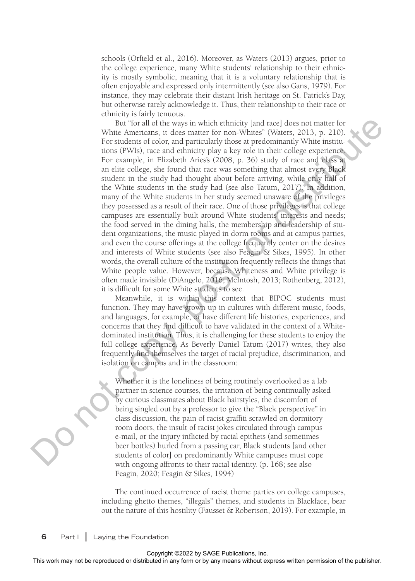schools (Orfield et al., 2016). Moreover, as Waters (2013) argues, prior to the college experience, many White students' relationship to their ethnicity is mostly symbolic, meaning that it is a voluntary relationship that is often enjoyable and expressed only intermittently (see also Gans, 1979). For instance, they may celebrate their distant Irish heritage on St. Patrick's Day, but otherwise rarely acknowledge it. Thus, their relationship to their race or ethnicity is fairly tenuous.

But "for all of the ways in which ethnicity [and race] does not matter for White Americans, it does matter for non-Whites" (Waters, 2013, p. 210). For students of color, and particularly those at predominantly White institutions (PWIs), race and ethnicity play a key role in their college experience. For example, in Elizabeth Aries's (2008, p. 36) study of race and class at an elite college, she found that race was something that almost every Black student in the study had thought about before arriving, while only half of the White students in the study had (see also Tatum, 2017). In addition, many of the White students in her study seemed unaware of the privileges they possessed as a result of their race. One of those privileges is that college campuses are essentially built around White students' interests and needs; the food served in the dining halls, the membership and leadership of student organizations, the music played in dorm rooms and at campus parties, and even the course offerings at the college frequently center on the desires and interests of White students (see also Feagin & Sikes, 1995). In other words, the overall culture of the institution frequently reflects the things that White people value. However, because Whiteness and White privilege is often made invisible (DiAngelo, 2016; McIntosh, 2013; Rothenberg, 2012), it is difficult for some White students to see. For all the rest of the internal or distributed in any form of the rest or distribution of the rest or distribution of the publisher any means without in the rest or computation of the publisher. The publisher of the publ

Meanwhile, it is within this context that BIPOC students must function. They may have grown up in cultures with different music, foods, and languages, for example, or have different life histories, experiences, and concerns that they find difficult to have validated in the context of a Whitedominated institution. Thus, it is challenging for these students to enjoy the full college experience. As Beverly Daniel Tatum (2017) writes, they also frequently find themselves the target of racial prejudice, discrimination, and isolation on campus and in the classroom:

Whether it is the loneliness of being routinely overlooked as a lab partner in science courses, the irritation of being continually asked by curious classmates about Black hairstyles, the discomfort of being singled out by a professor to give the "Black perspective" in class discussion, the pain of racist graffiti scrawled on dormitory room doors, the insult of racist jokes circulated through campus e-mail, or the injury inflicted by racial epithets (and sometimes beer bottles) hurled from a passing car, Black students [and other students of color] on predominantly White campuses must cope with ongoing affronts to their racial identity. (p. 168; see also Feagin, 2020; Feagin & Sikes, 1994)

The continued occurrence of racist theme parties on college campuses, including ghetto themes, "illegals" themes, and students in Blackface, bear out the nature of this hostility (Fausset & Robertson, 2019). For example, in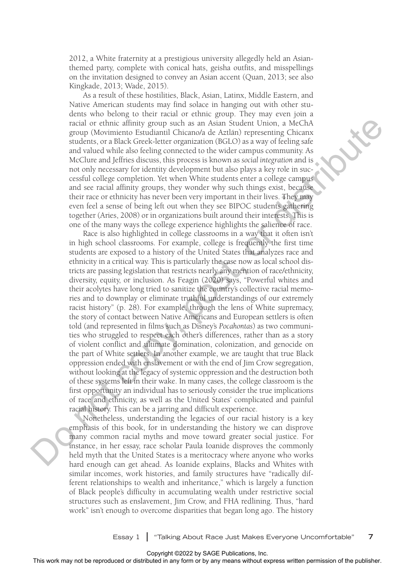2012, a White fraternity at a prestigious university allegedly held an Asianthemed party, complete with conical hats, geisha outfits, and misspellings on the invitation designed to convey an Asian accent (Quan, 2013; see also Kingkade, 2013; Wade, 2015).

As a result of these hostilities, Black, Asian, Latinx, Middle Eastern, and Native American students may find solace in hanging out with other students who belong to their racial or ethnic group. They may even join a racial or ethnic affinity group such as an Asian Student Union, a MeChA group (Movimiento Estudiantil Chicano/a de Aztlán) representing Chicanx students, or a Black Greek-letter organization (BGLO) as a way of feeling safe and valued while also feeling connected to the wider campus community. As McClure and Jeffries discuss, this process is known as *social integration* and is not only necessary for identity development but also plays a key role in successful college completion. Yet when White students enter a college campus and see racial affinity groups, they wonder why such things exist, because their race or ethnicity has never been very important in their lives. They may even feel a sense of being left out when they see BIPOC students gathering together (Aries, 2008) or in organizations built around their interests. This is one of the many ways the college experience highlights the salience of race.

Race is also highlighted in college classrooms in a way that it often isn't in high school classrooms. For example, college is frequently the first time students are exposed to a history of the United States that analyzes race and ethnicity in a critical way. This is particularly the case now as local school districts are passing legislation that restricts nearly any mention of race/ethnicity, diversity, equity, or inclusion. As Feagin (2020) says, "Powerful whites and their acolytes have long tried to sanitize the country's collective racial memories and to downplay or eliminate truthful understandings of our extremely racist history" (p. 28). For example, through the lens of White supremacy, the story of contact between Native Americans and European settlers is often told (and represented in films such as Disney's *Pocahontas*) as two communities who struggled to respect each other's differences, rather than as a story of violent conflict and ultimate domination, colonization, and genocide on the part of White settlers. In another example, we are taught that true Black oppression ended with enslavement or with the end of Jim Crow segregation, without looking at the legacy of systemic oppression and the destruction both of these systems left in their wake. In many cases, the college classroom is the first opportunity an individual has to seriously consider the true implications of race and ethnicity, as well as the United States' complicated and painful racial history. This can be a jarring and difficult experience. next may not alternative may not be reproduced as the result of the result of the results of the results of the results of the results of the publisher. This process is known or distributed in any fit is not computed in a

Nonetheless, understanding the legacies of our racial history is a key emphasis of this book, for in understanding the history we can disprove many common racial myths and move toward greater social justice. For instance, in her essay, race scholar Paula Ioanide disproves the commonly held myth that the United States is a meritocracy where anyone who works hard enough can get ahead. As Ioanide explains, Blacks and Whites with similar incomes, work histories, and family structures have "radically different relationships to wealth and inheritance," which is largely a function of Black people's difficulty in accumulating wealth under restrictive social structures such as enslavement, Jim Crow, and FHA redlining. Thus, "hard work" isn't enough to overcome disparities that began long ago. The history

Essay 1 **|** "Talking About Race Just Makes Everyone Uncomfortable" **7**

Copyright ©2022 by SAGE Publications, Inc.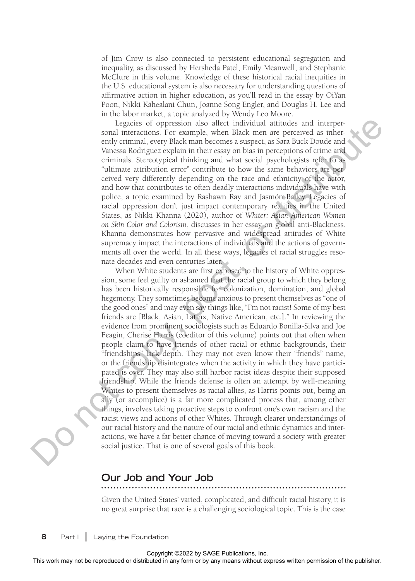of Jim Crow is also connected to persistent educational segregation and inequality, as discussed by Hersheda Patel, Emily Meanwell, and Stephanie McClure in this volume. Knowledge of these historical racial inequities in the U.S. educational system is also necessary for understanding questions of affirmative action in higher education, as you'll read in the essay by OiYan health Church at all and the channels, as young that the teedy by State<br>Poon, Nikki Kāhealani Chun, Joanne Song Engler, and Douglas H. Lee and in the labor market, a topic analyzed by Wendy Leo Moore.

Legacies of oppression also affect individual attitudes and interpersonal interactions. For example, when Black men are perceived as inherently criminal, every Black man becomes a suspect, as Sara Buck Doude and Vanessa Rodriguez explain in their essay on bias in perceptions of crime and criminals. Stereotypical thinking and what social psychologists refer to as "ultimate attribution error" contribute to how the same behaviors are perceived very differently depending on the race and ethnicity of the actor, and how that contributes to often deadly interactions individuals have with police, a topic examined by Rashawn Ray and Jasmón Bailey. Legacies of racial oppression don't just impact contemporary realities in the United States, as Nikki Khanna (2020), author of *Whiter: Asian American Women on Skin Color and Colorism*, discusses in her essay on global anti-Blackness. Khanna demonstrates how pervasive and widespread attitudes of White supremacy impact the interactions of individuals and the actions of governments all over the world. In all these ways, legacies of racial struggles resonate decades and even centuries later.

When White students are first exposed to the history of White oppression, some feel guilty or ashamed that the racial group to which they belong has been historically responsible for colonization, domination, and global hegemony. They sometimes become anxious to present themselves as "one of the good ones" and may even say things like, "I'm not racist! Some of my best friends are [Black, Asian, Latinx, Native American, etc.]." In reviewing the evidence from prominent sociologists such as Eduardo Bonilla-Silva and Joe Feagin, Cherise Harris (coeditor of this volume) points out that often when people claim to have friends of other racial or ethnic backgrounds, their "friendships" lack depth. They may not even know their "friend's" name, or the friendship disintegrates when the activity in which they have participated is over. They may also still harbor racist ideas despite their supposed friendship. While the friends defense is often an attempt by well-meaning Whites to present themselves as racial allies, as Harris points out, being an ally (or accomplice) is a far more complicated process that, among other things, involves taking proactive steps to confront one's own racism and the racist views and actions of other Whites. Through clearer understandings of our racial history and the nature of our racial and ethnic dynamics and interactions, we have a far better chance of moving toward a society with greater social justice. That is one of several goals of this book. The results of the reproduced or distributed in any formula complete or distributed in any formula cocycle and heliother any means a partier, as Sam Doch Doch American Complete Content and Simula scentification or distrib

#### **Our Job and Your Job**

Given the United States' varied, complicated, and difficult racial history, it is no great surprise that race is a challenging sociological topic. This is the case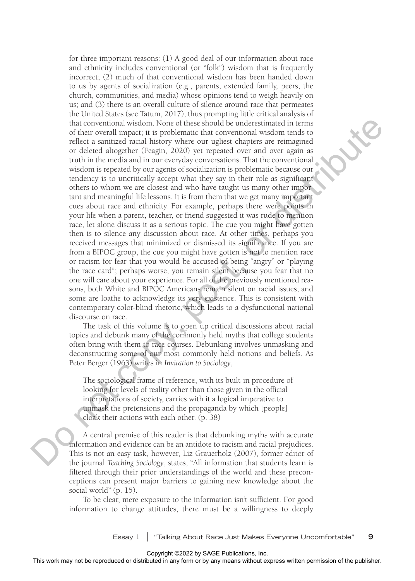for three important reasons: (1) A good deal of our information about race and ethnicity includes conventional (or "folk") wisdom that is frequently incorrect; (2) much of that conventional wisdom has been handed down to us by agents of socialization (e.g., parents, extended family, peers, the church, communities, and media) whose opinions tend to weigh heavily on us; and (3) there is an overall culture of silence around race that permeates the United States (see Tatum, 2017), thus prompting little critical analysis of that conventional wisdom. None of these should be underestimated in terms of their overall impact; it is problematic that conventional wisdom tends to reflect a sanitized racial history where our ugliest chapters are reimagined or deleted altogether (Feagin, 2020) yet repeated over and over again as truth in the media and in our everyday conversations. That the conventional wisdom is repeated by our agents of socialization is problematic because our tendency is to uncritically accept what they say in their role as significant others to whom we are closest and who have taught us many other important and meaningful life lessons. It is from them that we get many important cues about race and ethnicity. For example, perhaps there were points in your life when a parent, teacher, or friend suggested it was rude to mention race, let alone discuss it as a serious topic. The cue you might have gotten then is to silence any discussion about race. At other times, perhaps you received messages that minimized or dismissed its significance. If you are from a BIPOC group, the cue you might have gotten is not to mention race or racism for fear that you would be accused of being "angry" or "playing the race card"; perhaps worse, you remain silent because you fear that no one will care about your experience. For all of the previously mentioned reasons, both White and BIPOC Americans remain silent on racial issues, and some are loathe to acknowledge its very existence. This is consistent with contemporary color-blind rhetoric, which leads to a dysfunctional national discourse on race. This movement in appearing the reproduced or distributed in any form or by any form or by any means we complete the statistical in the control or express written or the publisher. On the publisher or the publisher or the

The task of this volume is to open up critical discussions about racial topics and debunk many of the commonly held myths that college students often bring with them to race courses. Debunking involves unmasking and deconstructing some of our most commonly held notions and beliefs. As Peter Berger (1963) writes in *Invitation to Sociology*,

The sociological frame of reference, with its built-in procedure of looking for levels of reality other than those given in the official interpretations of society, carries with it a logical imperative to unmask the pretensions and the propaganda by which [people] cloak their actions with each other. (p. 38)

A central premise of this reader is that debunking myths with accurate information and evidence can be an antidote to racism and racial prejudices. This is not an easy task, however, Liz Grauerholz (2007), former editor of the journal *Teaching Sociology*, states, "All information that students learn is filtered through their prior understandings of the world and these preconceptions can present major barriers to gaining new knowledge about the social world" (p. 15).

To be clear, mere exposure to the information isn't sufficient. For good information to change attitudes, there must be a willingness to deeply

Essay 1 **|** "Talking About Race Just Makes Everyone Uncomfortable" **9**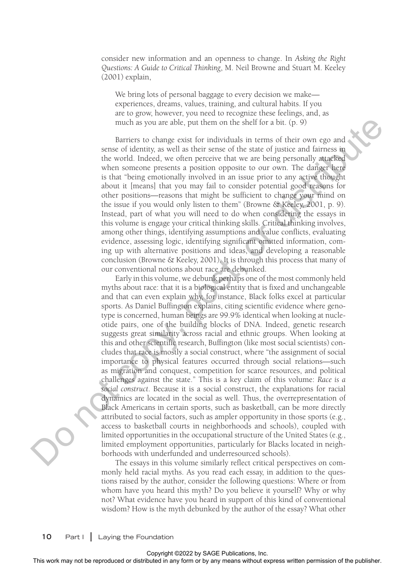consider new information and an openness to change. In *Asking the Right Questions: A Guide to Critical Thinking*, M. Neil Browne and Stuart M. Keeley (2001) explain,

We bring lots of personal baggage to every decision we make experiences, dreams, values, training, and cultural habits. If you are to grow, however, you need to recognize these feelings, and, as much as you are able, put them on the shelf for a bit. (p. 9)

Barriers to change exist for individuals in terms of their own ego and sense of identity, as well as their sense of the state of justice and fairness in the world. Indeed, we often perceive that we are being personally attacked when someone presents a position opposite to our own. The danger here is that "being emotionally involved in an issue prior to any active thought about it [means] that you may fail to consider potential good reasons for other positions—reasons that might be sufficient to change your mind on the issue if you would only listen to them" (Browne & Keeley, 2001, p. 9). Instead, part of what you will need to do when considering the essays in this volume is engage your critical thinking skills. Critical thinking involves, among other things, identifying assumptions and value conflicts, evaluating evidence, assessing logic, identifying significant omitted information, coming up with alternative positions and ideas, and developing a reasonable conclusion (Browne & Keeley, 2001). It is through this process that many of our conventional notions about race are debunked.

Early in this volume, we debunk perhaps one of the most commonly held myths about race: that it is a biological entity that is fixed and unchangeable and that can even explain why, for instance, Black folks excel at particular sports. As Daniel Buffington explains, citing scientific evidence where genotype is concerned, human beings are 99.9% identical when looking at nucleotide pairs, one of the building blocks of DNA. Indeed, genetic research suggests great similarity across racial and ethnic groups. When looking at this and other scientific research, Buffington (like most social scientists) concludes that race is mostly a social construct, where "the assignment of social importance to physical features occurred through social relations—such as migration and conquest, competition for scarce resources, and political challenges against the state." This is a key claim of this volume: *Race is a social construct*. Because it is a social construct, the explanations for racial dynamics are located in the social as well. Thus, the overrepresentation of Black Americans in certain sports, such as basketball, can be more directly attributed to social factors, such as ampler opportunity in those sports (e.g., access to basketball courts in neighborhoods and schools), coupled with limited opportunities in the occupational structure of the United States (e.g., limited employment opportunities, particularly for Blacks located in neighborhoods with underfunded and underresourced schools). much as your are able, put them or the shell for a br. (p. 5)<br>
Date of identity as well as their description in terms of their own operator<br>
we consider the plane and the publisher. The distributed in the state of interes

The essays in this volume similarly reflect critical perspectives on commonly held racial myths. As you read each essay, in addition to the questions raised by the author, consider the following questions: Where or from whom have you heard this myth? Do you believe it yourself? Why or why not? What evidence have you heard in support of this kind of conventional wisdom? How is the myth debunked by the author of the essay? What other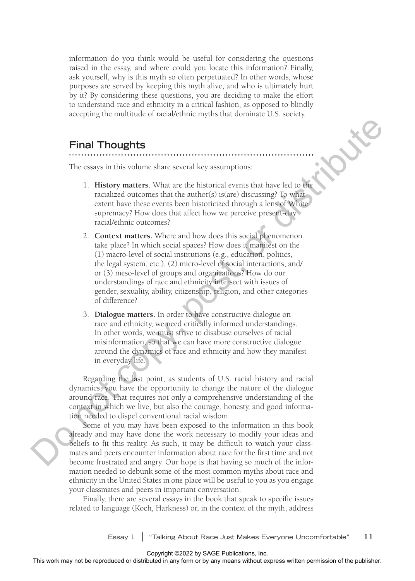information do you think would be useful for considering the questions raised in the essay, and where could you locate this information? Finally, ask yourself, why is this myth so often perpetuated? In other words, whose purposes are served by keeping this myth alive, and who is ultimately hurt by it? By considering these questions, you are deciding to make the effort to understand race and ethnicity in a critical fashion, as opposed to blindly accepting the multitude of racial/ethnic myths that dominate U.S. society.

#### **Final Thoughts**

The essays in this volume share several key assumptions:

- 1. **History matters.** What are the historical events that have led to the racialized outcomes that the author(s) is(are) discussing? To what extent have these events been historicized through a lens of White supremacy? How does that affect how we perceive present-day racial/ethnic outcomes?
- 2. **Context matters.** Where and how does this social phenomenon take place? In which social spaces? How does it manifest on the (1) macro-level of social institutions (e.g., education, politics, the legal system, etc.), (2) micro-level of social interactions, and/ or (3) meso-level of groups and organizations? How do our understandings of race and ethnicity intersect with issues of gender, sexuality, ability, citizenship, religion, and other categories of difference?
- 3. **Dialogue matters.** In order to have constructive dialogue on race and ethnicity, we need critically informed understandings. In other words, we must strive to disabuse ourselves of racial misinformation, so that we can have more constructive dialogue around the dynamics of race and ethnicity and how they manifest in everyday life.

Regarding the last point, as students of U.S. racial history and racial dynamics, you have the opportunity to change the nature of the dialogue around race. That requires not only a comprehensive understanding of the context in which we live, but also the courage, honesty, and good information needed to dispel conventional racial wisdom.

Some of you may have been exposed to the information in this book already and may have done the work necessary to modify your ideas and beliefs to fit this reality. As such, it may be difficult to watch your classmates and peers encounter information about race for the first time and not become frustrated and angry. Our hope is that having so much of the information needed to debunk some of the most common myths about race and ethnicity in the United States in one place will be useful to you as you engage your classmates and peers in important conversation. **The This work may not be reproduced in any form or by any form or be reproduced in any form or be reproduced in any form or be reproduced in any form or be reproduced in any form or be reproduced in any form or be reprod** 

Finally, there are several essays in the book that speak to specific issues related to language (Koch, Harkness) or, in the context of the myth, address

Essay 1 **|** "Talking About Race Just Makes Everyone Uncomfortable" **11**

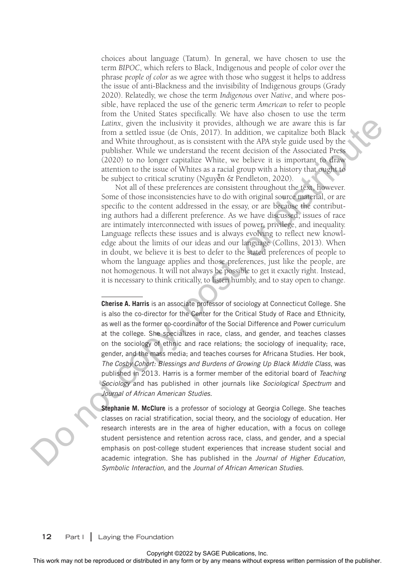choices about language (Tatum). In general, we have chosen to use the term *BIPOC*, which refers to Black, Indigenous and people of color over the phrase *people of color* as we agree with those who suggest it helps to address the issue of anti-Blackness and the invisibility of Indigenous groups (Grady 2020). Relatedly, we chose the term *Indigenous* over *Native*, and where possible, have replaced the use of the generic term *American* to refer to people from the United States specifically. We have also chosen to use the term *Latinx*, given the inclusivity it provides, although we are aware this is far from a settled issue (de Onís, 2017). In addition, we capitalize both Black and White throughout, as is consistent with the APA style guide used by the publisher. While we understand the recent decision of the Associated Press (2020) to no longer capitalize White, we believe it is important to draw attention to the issue of Whites as a racial group with a history that ought to be subject to critical scrutiny (Nguyễn & Pendleton, 2020).

Not all of these preferences are consistent throughout the text, however. Some of those inconsistencies have to do with original source material, or are specific to the content addressed in the essay, or are because the contributing authors had a different preference. As we have discussed, issues of race are intimately interconnected with issues of power, privilege, and inequality. Language reflects these issues and is always evolving to reflect new knowledge about the limits of our ideas and our language (Collins, 2013). When in doubt, we believe it is best to defer to the stated preferences of people to whom the language applies and those preferences, just like the people, are not homogenous. It will not always be possible to get it exactly right. Instead, it is necessary to think critically, to listen humbly, and to stay open to change. From a settled sound of the relationship of the ratio of the ratio of the ratio of the ratio of the ratio of the ratio of the ratio of the ratio of the ratio of the ratio of the ratio of the ratio of the ratio of the rati

**Stephanie M. McClure** is a professor of sociology at Georgia College. She teaches classes on racial stratification, social theory, and the sociology of education. Her research interests are in the area of higher education, with a focus on college student persistence and retention across race, class, and gender, and a special emphasis on post-college student experiences that increase student social and academic integration. She has published in the *Journal of Higher Education, Symbolic Interaction*, and the *Journal of African American Studies.*

**Cherise A. Harris** is an associate professor of sociology at Connecticut College. She is also the co-director for the Center for the Critical Study of Race and Ethnicity, as well as the former co-coordinator of the Social Difference and Power curriculum at the college. She specializes in race, class, and gender, and teaches classes on the sociology of ethnic and race relations; the sociology of inequality; race, gender, and the mass media; and teaches courses for Africana Studies. Her book, *The Cosby Cohort: Blessings and Burdens of Growing Up Black Middle Class*, was published in 2013. Harris is a former member of the editorial board of *Teaching Sociology* and has published in other journals like *Sociological Spectrum* and *Journal of African American Studies.*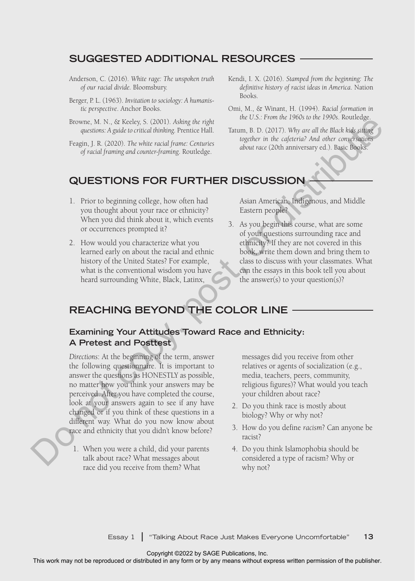#### **SUGGESTED ADDITIONAL RESOURCES**

- Anderson, C. (2016). *White rage: The unspoken truth of our racial divide.* Bloomsbury.
- Berger, P. L. (1963). *Invitation to sociology: A humanistic perspective*. Anchor Books.
- Browne, M. N., & Keeley, S. (2001). *Asking the right questions: A guide to critical thinking.* Prentice Hall.
- Feagin, J. R. (2020). *The white racial frame: Centuries of racial framing and counter-framing*. Routledge.
- Kendi, I. X. (2016). *Stamped from the beginning: The definitive history of racist ideas in America*. Nation Books.
- Omi, M., & Winant, H. (1994). *Racial formation in the U.S.: From the 1960s to the 1990s*. Routledge.
- Tatum, B. D. (2017). *Why are all the Black kids sitting together in the cafeteria? And other conversations about race* (20th anniversary ed.). Basic Books.

### **QUESTIONS FOR FURTHER DISCUSSION**

- 1. Prior to beginning college, how often had you thought about your race or ethnicity? When you did think about it, which events or occurrences prompted it?
- 2. How would you characterize what you learned early on about the racial and ethnic history of the United States? For example, what is the conventional wisdom you have heard surrounding White, Black, Latinx,

Asian American, Indigenous, and Middle Eastern people?

3. As you begin this course, what are some of your questions surrounding race and ethnicity? If they are not covered in this book, write them down and bring them to class to discuss with your classmates. What can the essays in this book tell you about the answer(s) to your question(s)?

# **REACHING BEYOND THE COLOR LINE**

#### **Examining Your Attitudes Toward Race and Ethnicity: A Pretest and Posttest**

*Directions*: At the beginning of the term, answer the following questionnaire. It is important to answer the questions as HONESTLY as possible, no matter how you think your answers may be perceived. After you have completed the course, look at your answers again to see if any have changed or if you think of these questions in a different way. What do you now know about race and ethnicity that you didn't know before? The entry May a section of the means we computed the reproduced or distributed in any other than the copy of the publisher and the copy of the publisher. The publisher or distributed in any other than the publisher. The p

1. When you were a child, did your parents talk about race? What messages about race did you receive from them? What

messages did you receive from other relatives or agents of socialization (e.g., media, teachers, peers, community, religious figures)? What would you teach your children about race?

- 2. Do you think race is mostly about biology? Why or why not?
- 3. How do you define *racism*? Can anyone be racist?
- 4. Do you think Islamophobia should be considered a type of racism? Why or why not?

Essay 1 **|** "Talking About Race Just Makes Everyone Uncomfortable" **13**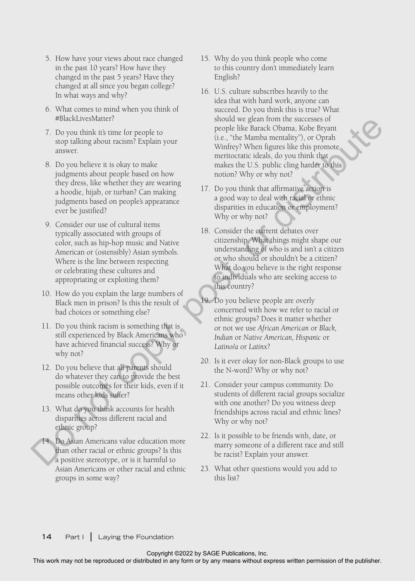- 5. How have your views about race changed in the past 10 years? How have they changed in the past 5 years? Have they changed at all since you began college? In what ways and why?
- 6. What comes to mind when you think of #BlackLivesMatter?
- 7. Do you think it's time for people to stop talking about racism? Explain your answer.
- 8. Do you believe it is okay to make judgments about people based on how they dress, like whether they are wearing a hoodie, hijab, or turban? Can making judgments based on people's appearance ever be justified?
- 9. Consider our use of cultural items typically associated with groups of color, such as hip-hop music and Native American or (ostensibly) Asian symbols. Where is the line between respecting or celebrating these cultures and appropriating or exploiting them?
- 10. How do you explain the large numbers of Black men in prison? Is this the result of bad choices or something else?
- 11. Do you think racism is something that is still experienced by Black Americans who have achieved financial success? Why or why not?
- 12. Do you believe that all parents should do whatever they can to provide the best possible outcomes for their kids, even if it means other kids suffer?
- 13. What do you think accounts for health disparities across different racial and ethnic group?
- 14. Do Asian Americans value education more than other racial or ethnic groups? Is this a positive stereotype, or is it harmful to Asian Americans or other racial and ethnic groups in some way?
- 15. Why do you think people who come to this country don't immediately learn English?
- 16. U.S. culture subscribes heavily to the idea that with hard work, anyone can succeed. Do you think this is true? What should we glean from the successes of people like Barack Obama, Kobe Bryant (i.e., "the Mamba mentality"), or Oprah Winfrey? When figures like this promote meritocratic ideals, do you think that makes the U.S. public cling harder to this notion? Why or why not? This work may not be reproduced or distributed or distributed or distributed in any form or by any means with the publisher or the publisher or the publisher of the publisher of the publisher. This points were also distri
	- 17. Do you think that affirmative action is a good way to deal with racial or ethnic disparities in education or employment? Why or why not?
	- 18. Consider the current debates over citizenship. What things might shape our understanding of who is and isn't a citizen or who should or shouldn't be a citizen? What do you believe is the right response to individuals who are seeking access to this country?
	- 19. Do you believe people are overly concerned with how we refer to racial or ethnic groups? Does it matter whether or not we use *African American* or *Black, Indian* or *Native American, Hispanic* or *Latino/a* or *Latinx*?
	- 20. Is it ever okay for non-Black groups to use the N-word? Why or why not?
	- 21. Consider your campus community. Do students of different racial groups socialize with one another? Do you witness deep friendships across racial and ethnic lines? Why or why not?
	- 22. Is it possible to be friends with, date, or marry someone of a different race and still be racist? Explain your answer.
	- 23. What other questions would you add to this list?

**14** Part I **|** Laying the Foundation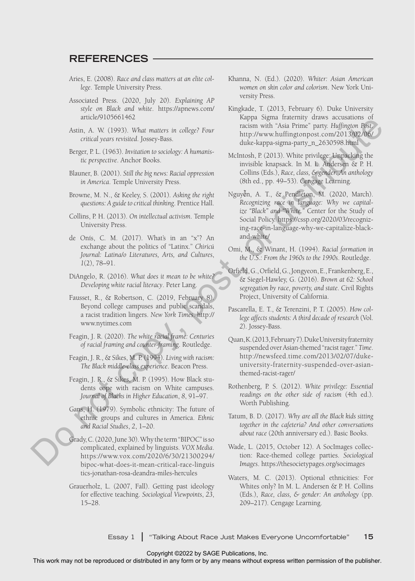#### **REFERENCES**

- Aries, E. (2008). *Race and class matters at an elite college*. Temple University Press.
- Associated Press. (2020, July 20). *Explaining AP style on Black and white*. https://apnews.com/ article/9105661462
- Astin, A. W. (1993). *What matters in college? Four critical years revisited*. Jossey-Bass.
- Berger, P. L. (1963). *Invitation to sociology: A humanistic perspective*. Anchor Books.
- Blauner, B. (2001). *Still the big news: Racial oppression in America*. Temple University Press.
- Browne, M. N., & Keeley, S. (2001). *Asking the right questions: A guide to critical thinking*. Prentice Hall.
- Collins, P. H. (2013). *On intellectual activism*. Temple University Press.
- de Onís, C. M. (2017). What's in an "x"? An exchange about the politics of "Latinx." *Chiricú Journal: Latina/o Literatures, Arts, and Cultures*, *1*(2), 78–91.
- DiAngelo, R. (2016). *What does it mean to be white? Developing white racial literacy*. Peter Lang.
- Fausset, R., & Robertson, C. (2019, February 8). Beyond college campuses and public scandals, a racist tradition lingers. *New York Times*. http:// www.nytimes.com
- Feagin, J. R. (2020). *The white racial frame: Centuries of racial framing and counter-framing*. Routledge.
- Feagin, J. R., & Sikes, M. P. (1994). *Living with racism: The Black middle-class experience*. Beacon Press.
- Feagin, J. R., & Sikes, M. P. (1995). How Black students cope with racism on White campuses. *Journal of Blacks in Higher Education*, *8*, 91–97.
- Gans, H. (1979). Symbolic ethnicity: The future of ethnic groups and cultures in America. *Ethnic and Racial Studies*, *2*, 1–20.
- Grady, C. (2020, June 30). Why the term "BIPOC" is so complicated, explained by linguists. *VOX Media*. https://www.vox.com/2020/6/30/21300294/ bipoc-what-does-it-mean-critical-race-linguis tics-jonathan-rosa-deandra-miles-hercules
- Grauerholz, L. (2007, Fall). Getting past ideology for effective teaching. *Sociological Viewpoints*, *23*, 15–28.
- Khanna, N. (Ed.). (2020). *Whiter: Asian American women on skin color and colorism*. New York University Press.
- Kingkade, T. (2013, February 6). Duke University Kappa Sigma fraternity draws accusations of racism with "Asia Prime" party. *Huffington Post*. http://www.huffingtonpost.com/2013/02/06/ duke-kappa-sigma-party\_n\_2630598.html
- McIntosh, P. (2013). White privilege: Unpacking the invisible knapsack. In M. L. Andersen & P. H. Collins (Eds.), *Race, class, & gender: An anthology* (8th ed., pp. 49–53). Cengage Learning.
- Nguyễn, A. T., & Pendleton, M. (2020, March). *Recognizing race in language: Why we capitalize "Black" and "White."* Center for the Study of Social Policy. https://cssp.org/2020/03/recognizing-race-in-language-why-we-capitalize-blackand-white/ This is a matter or or by any fitting the repression of the repression or be represented in any form or behavior or between the publisher of the publisher of the publisher of the publisher of the publisher of the publishe
	- Omi, M., & Winant, H. (1994). *Racial formation in the U.S.: From the 1960s to the 1990s*. Routledge.
	- Orfield, G., Orfield, G., Jongyeon, E., Frankenberg, E., & Siegel-Hawley, G. (2016). *Brown at 62: School segregation by race, poverty, and state*. Civil Rights Project, University of California.
	- Pascarella, E. T., & Terenzini, P. T. (2005). *How college affects students: A third decade of research* (Vol. *2*). Jossey-Bass.
	- Quan, K. (2013, February 7). Duke University fraternity suspended over Asian-themed "racist rager." *Time*. http://newsfeed.time.com/2013/02/07/dukeuniversity-fraternity-suspended-over-asianthemed-racist-rager/
	- Rothenberg, P. S. (2012). *White privilege: Essential readings on the other side of racism* (4th ed.). Worth Publishing.
	- Tatum, B. D. (2017). *Why are all the Black kids sitting together in the cafeteria? And other conversations about race* (20th anniversary ed.). Basic Books.
	- Wade, L. (2015, October 12). A SocImages collection: Race-themed college parties. *Sociological Images*. https://thesocietypages.org/socimages
	- Waters, M. C. (2013). Optional ethnicities: For Whites only? In M. L. Andersen & P. H. Collins (Eds.), *Race, class, & gender: An anthology* (pp. 209–217). Cengage Learning.

Essay 1 **|** "Talking About Race Just Makes Everyone Uncomfortable" **15**